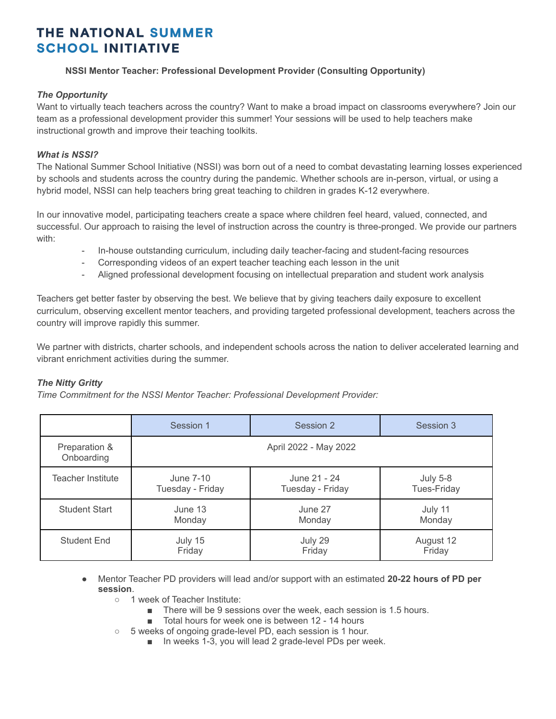# THE NATIONAL SUMMER **SCHOOL INITIATIVE**

## **NSSI Mentor Teacher: Professional Development Provider (Consulting Opportunity)**

### *The Opportunity*

Want to virtually teach teachers across the country? Want to make a broad impact on classrooms everywhere? Join our team as a professional development provider this summer! Your sessions will be used to help teachers make instructional growth and improve their teaching toolkits.

## *What is NSSI?*

The National Summer School Initiative (NSSI) was born out of a need to combat devastating learning losses experienced by schools and students across the country during the pandemic. Whether schools are in-person, virtual, or using a hybrid model, NSSI can help teachers bring great teaching to children in grades K-12 everywhere.

In our innovative model, participating teachers create a space where children feel heard, valued, connected, and successful. Our approach to raising the level of instruction across the country is three-pronged. We provide our partners with:

- In-house outstanding curriculum, including daily teacher-facing and student-facing resources
- Corresponding videos of an expert teacher teaching each lesson in the unit
- Aligned professional development focusing on intellectual preparation and student work analysis

Teachers get better faster by observing the best. We believe that by giving teachers daily exposure to excellent curriculum, observing excellent mentor teachers, and providing targeted professional development, teachers across the country will improve rapidly this summer.

We partner with districts, charter schools, and independent schools across the nation to deliver accelerated learning and vibrant enrichment activities during the summer.

# *The Nitty Gritty*

*Time Commitment for the NSSI Mentor Teacher: Professional Development Provider:*

|                             | Session 1             | Session 2        | Session 3          |
|-----------------------------|-----------------------|------------------|--------------------|
| Preparation &<br>Onboarding | April 2022 - May 2022 |                  |                    |
| Teacher Institute           | June 7-10             | June 21 - 24     | <b>July 5-8</b>    |
|                             | Tuesday - Friday      | Tuesday - Friday | <b>Tues-Friday</b> |
| <b>Student Start</b>        | June 13               | June 27          | July 11            |
|                             | Monday                | Monday           | Monday             |
| <b>Student End</b>          | July 15               | July 29          | August 12          |
|                             | Friday                | Friday           | Friday             |

● Mentor Teacher PD providers will lead and/or support with an estimated **20-22 hours of PD per session**.

- 1 week of Teacher Institute:
	- There will be 9 sessions over the week, each session is 1.5 hours.
	- Total hours for week one is between 12 14 hours
- 5 weeks of ongoing grade-level PD, each session is 1 hour.
	- In weeks 1-3, you will lead 2 grade-level PDs per week.